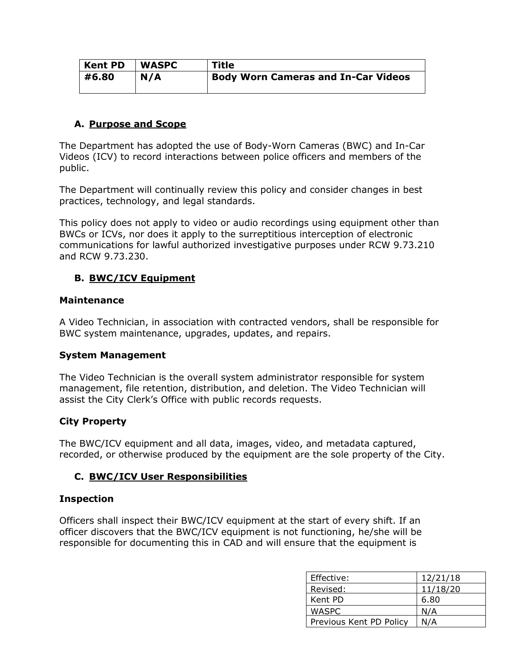| <b>Kent PD</b> | <b>WASPC</b> | Title                                      |  |
|----------------|--------------|--------------------------------------------|--|
| #6.80          | N/A          | <b>Body Worn Cameras and In-Car Videos</b> |  |
|                |              |                                            |  |

## **A. Purpose and Scope**

The Department has adopted the use of Body-Worn Cameras (BWC) and In-Car Videos (ICV) to record interactions between police officers and members of the public.

The Department will continually review this policy and consider changes in best practices, technology, and legal standards.

This policy does not apply to video or audio recordings using equipment other than BWCs or ICVs, nor does it apply to the surreptitious interception of electronic communications for lawful authorized investigative purposes under RCW 9.73.210 and RCW 9.73.230.

## **B. BWC/ICV Equipment**

#### **Maintenance**

A Video Technician, in association with contracted vendors, shall be responsible for BWC system maintenance, upgrades, updates, and repairs.

## **System Management**

The Video Technician is the overall system administrator responsible for system management, file retention, distribution, and deletion. The Video Technician will assist the City Clerk's Office with public records requests.

## **City Property**

The BWC/ICV equipment and all data, images, video, and metadata captured, recorded, or otherwise produced by the equipment are the sole property of the City.

## **C. BWC/ICV User Responsibilities**

## **Inspection**

Officers shall inspect their BWC/ICV equipment at the start of every shift. If an officer discovers that the BWC/ICV equipment is not functioning, he/she will be responsible for documenting this in CAD and will ensure that the equipment is

| Effective:              | 12/21/18 |
|-------------------------|----------|
| Revised:                | 11/18/20 |
| Kent PD                 | 6.80     |
| WASPC                   | N/A      |
| Previous Kent PD Policy | N/A      |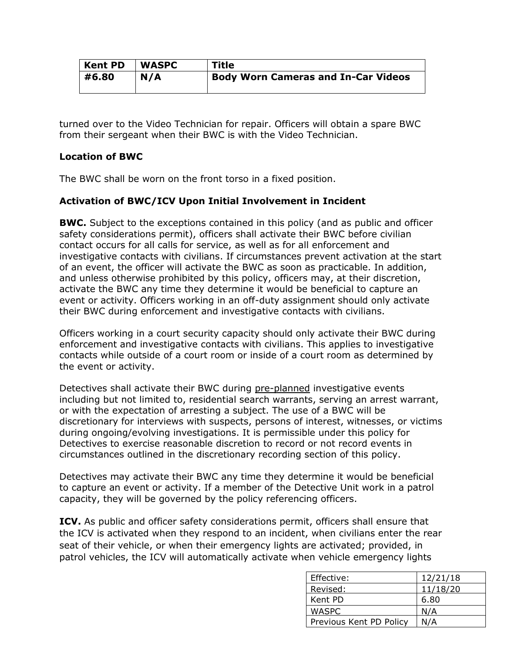| Kent PD | <b>WASPC</b> | Title                                      |
|---------|--------------|--------------------------------------------|
| #6.80   | N/A          | <b>Body Worn Cameras and In-Car Videos</b> |

turned over to the Video Technician for repair. Officers will obtain a spare BWC from their sergeant when their BWC is with the Video Technician.

## **Location of BWC**

The BWC shall be worn on the front torso in a fixed position.

## **Activation of BWC/ICV Upon Initial Involvement in Incident**

**BWC.** Subject to the exceptions contained in this policy (and as public and officer safety considerations permit), officers shall activate their BWC before civilian contact occurs for all calls for service, as well as for all enforcement and investigative contacts with civilians. If circumstances prevent activation at the start of an event, the officer will activate the BWC as soon as practicable. In addition, and unless otherwise prohibited by this policy, officers may, at their discretion, activate the BWC any time they determine it would be beneficial to capture an event or activity. Officers working in an off-duty assignment should only activate their BWC during enforcement and investigative contacts with civilians.

Officers working in a court security capacity should only activate their BWC during enforcement and investigative contacts with civilians. This applies to investigative contacts while outside of a court room or inside of a court room as determined by the event or activity.

Detectives shall activate their BWC during pre-planned investigative events including but not limited to, residential search warrants, serving an arrest warrant, or with the expectation of arresting a subject. The use of a BWC will be discretionary for interviews with suspects, persons of interest, witnesses, or victims during ongoing/evolving investigations. It is permissible under this policy for Detectives to exercise reasonable discretion to record or not record events in circumstances outlined in the discretionary recording section of this policy.

Detectives may activate their BWC any time they determine it would be beneficial to capture an event or activity. If a member of the Detective Unit work in a patrol capacity, they will be governed by the policy referencing officers.

**ICV.** As public and officer safety considerations permit, officers shall ensure that the ICV is activated when they respond to an incident, when civilians enter the rear seat of their vehicle, or when their emergency lights are activated; provided, in patrol vehicles, the ICV will automatically activate when vehicle emergency lights

| Effective:              | 12/21/18 |
|-------------------------|----------|
| Revised:                | 11/18/20 |
| Kent PD                 | 6.80     |
| <b>WASPC</b>            | N/A      |
| Previous Kent PD Policy | N/A      |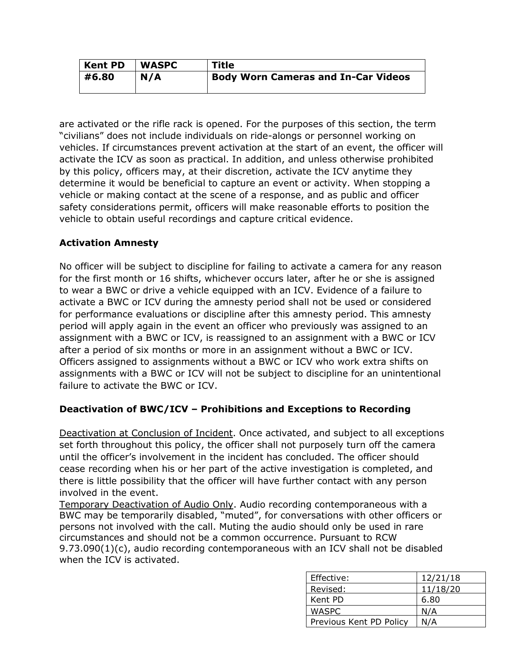| <b>Kent PD</b> | <b>WASPC</b> | <b>Title</b>                               |
|----------------|--------------|--------------------------------------------|
| #6.80          | N/A          | <b>Body Worn Cameras and In-Car Videos</b> |

are activated or the rifle rack is opened. For the purposes of this section, the term "civilians" does not include individuals on ride-alongs or personnel working on vehicles. If circumstances prevent activation at the start of an event, the officer will activate the ICV as soon as practical. In addition, and unless otherwise prohibited by this policy, officers may, at their discretion, activate the ICV anytime they determine it would be beneficial to capture an event or activity. When stopping a vehicle or making contact at the scene of a response, and as public and officer safety considerations permit, officers will make reasonable efforts to position the vehicle to obtain useful recordings and capture critical evidence.

# **Activation Amnesty**

No officer will be subject to discipline for failing to activate a camera for any reason for the first month or 16 shifts, whichever occurs later, after he or she is assigned to wear a BWC or drive a vehicle equipped with an ICV. Evidence of a failure to activate a BWC or ICV during the amnesty period shall not be used or considered for performance evaluations or discipline after this amnesty period. This amnesty period will apply again in the event an officer who previously was assigned to an assignment with a BWC or ICV, is reassigned to an assignment with a BWC or ICV after a period of six months or more in an assignment without a BWC or ICV. Officers assigned to assignments without a BWC or ICV who work extra shifts on assignments with a BWC or ICV will not be subject to discipline for an unintentional failure to activate the BWC or ICV.

# **Deactivation of BWC/ICV – Prohibitions and Exceptions to Recording**

Deactivation at Conclusion of Incident. Once activated, and subject to all exceptions set forth throughout this policy, the officer shall not purposely turn off the camera until the officer's involvement in the incident has concluded. The officer should cease recording when his or her part of the active investigation is completed, and there is little possibility that the officer will have further contact with any person involved in the event.

Temporary Deactivation of Audio Only. Audio recording contemporaneous with a BWC may be temporarily disabled, "muted", for conversations with other officers or persons not involved with the call. Muting the audio should only be used in rare circumstances and should not be a common occurrence. Pursuant to RCW 9.73.090(1)(c), audio recording contemporaneous with an ICV shall not be disabled when the ICV is activated.

| Effective:              | 12/21/18 |
|-------------------------|----------|
| Revised:                | 11/18/20 |
| Kent PD                 | 6.80     |
| WASPC                   | N/A      |
| Previous Kent PD Policy | N/A      |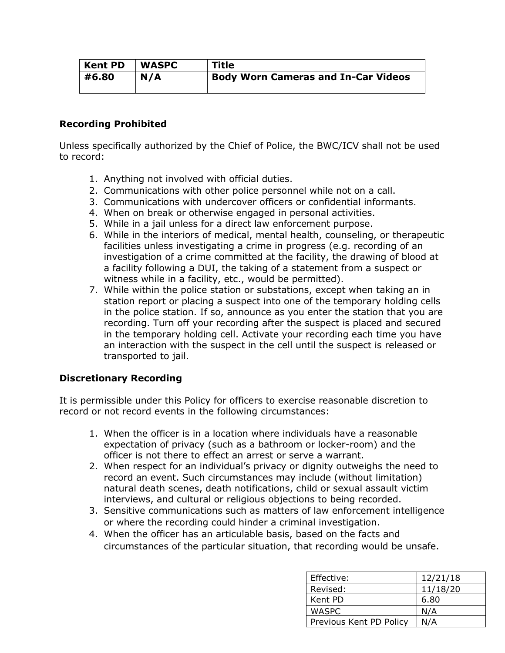| <b>Kent PD</b> | <b>WASPC</b> | <b>Title</b>                               |
|----------------|--------------|--------------------------------------------|
| #6.80          | N/A          | <b>Body Worn Cameras and In-Car Videos</b> |

## **Recording Prohibited**

Unless specifically authorized by the Chief of Police, the BWC/ICV shall not be used to record:

- 1. Anything not involved with official duties.
- 2. Communications with other police personnel while not on a call.
- 3. Communications with undercover officers or confidential informants.
- 4. When on break or otherwise engaged in personal activities.
- 5. While in a jail unless for a direct law enforcement purpose.
- 6. While in the interiors of medical, mental health, counseling, or therapeutic facilities unless investigating a crime in progress (e.g. recording of an investigation of a crime committed at the facility, the drawing of blood at a facility following a DUI, the taking of a statement from a suspect or witness while in a facility, etc., would be permitted).
- 7. While within the police station or substations, except when taking an in station report or placing a suspect into one of the temporary holding cells in the police station. If so, announce as you enter the station that you are recording. Turn off your recording after the suspect is placed and secured in the temporary holding cell. Activate your recording each time you have an interaction with the suspect in the cell until the suspect is released or transported to jail.

## **Discretionary Recording**

It is permissible under this Policy for officers to exercise reasonable discretion to record or not record events in the following circumstances:

- 1. When the officer is in a location where individuals have a reasonable expectation of privacy (such as a bathroom or locker-room) and the officer is not there to effect an arrest or serve a warrant.
- 2. When respect for an individual's privacy or dignity outweighs the need to record an event. Such circumstances may include (without limitation) natural death scenes, death notifications, child or sexual assault victim interviews, and cultural or religious objections to being recorded.
- 3. Sensitive communications such as matters of law enforcement intelligence or where the recording could hinder a criminal investigation.
- 4. When the officer has an articulable basis, based on the facts and circumstances of the particular situation, that recording would be unsafe.

| Effective:              | 12/21/18 |
|-------------------------|----------|
| Revised:                | 11/18/20 |
| Kent PD                 | 6.80     |
| WASPC                   | N/A      |
| Previous Kent PD Policy | N/A      |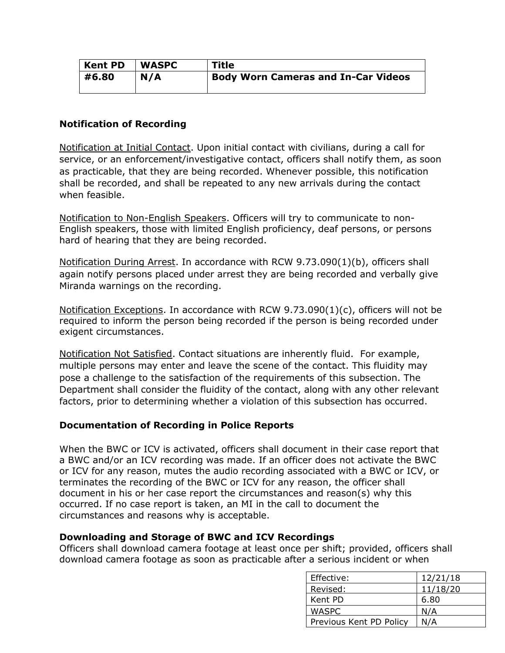| <b>Kent PD</b> | <b>WASPC</b> | <b>Title</b>                               |
|----------------|--------------|--------------------------------------------|
| #6.80          | N/A          | <b>Body Worn Cameras and In-Car Videos</b> |
|                |              |                                            |

## **Notification of Recording**

Notification at Initial Contact. Upon initial contact with civilians, during a call for service, or an enforcement/investigative contact, officers shall notify them, as soon as practicable, that they are being recorded. Whenever possible, this notification shall be recorded, and shall be repeated to any new arrivals during the contact when feasible.

Notification to Non-English Speakers. Officers will try to communicate to non-English speakers, those with limited English proficiency, deaf persons, or persons hard of hearing that they are being recorded.

Notification During Arrest. In accordance with RCW 9.73.090(1)(b), officers shall again notify persons placed under arrest they are being recorded and verbally give Miranda warnings on the recording.

Notification Exceptions. In accordance with RCW 9.73.090(1)(c), officers will not be required to inform the person being recorded if the person is being recorded under exigent circumstances.

Notification Not Satisfied. Contact situations are inherently fluid. For example, multiple persons may enter and leave the scene of the contact. This fluidity may pose a challenge to the satisfaction of the requirements of this subsection. The Department shall consider the fluidity of the contact, along with any other relevant factors, prior to determining whether a violation of this subsection has occurred.

## **Documentation of Recording in Police Reports**

When the BWC or ICV is activated, officers shall document in their case report that a BWC and/or an ICV recording was made. If an officer does not activate the BWC or ICV for any reason, mutes the audio recording associated with a BWC or ICV, or terminates the recording of the BWC or ICV for any reason, the officer shall document in his or her case report the circumstances and reason(s) why this occurred. If no case report is taken, an MI in the call to document the circumstances and reasons why is acceptable.

## **Downloading and Storage of BWC and ICV Recordings**

Officers shall download camera footage at least once per shift; provided, officers shall download camera footage as soon as practicable after a serious incident or when

| Effective:              | 12/21/18 |
|-------------------------|----------|
| Revised:                | 11/18/20 |
| Kent PD                 | 6.80     |
| WASPC                   | N/A      |
| Previous Kent PD Policy | N/A      |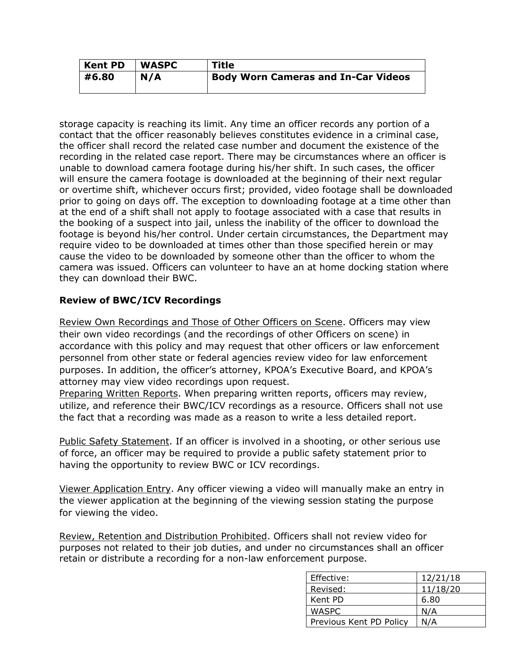| <b>Kent PD</b> | <b>WASPC</b> | Title                                      |
|----------------|--------------|--------------------------------------------|
| #6.80          | N/A          | <b>Body Worn Cameras and In-Car Videos</b> |

storage capacity is reaching its limit. Any time an officer records any portion of a contact that the officer reasonably believes constitutes evidence in a criminal case, the officer shall record the related case number and document the existence of the recording in the related case report. There may be circumstances where an officer is unable to download camera footage during his/her shift. In such cases, the officer will ensure the camera footage is downloaded at the beginning of their next regular or overtime shift, whichever occurs first; provided, video footage shall be downloaded prior to going on days off. The exception to downloading footage at a time other than at the end of a shift shall not apply to footage associated with a case that results in the booking of a suspect into jail, unless the inability of the officer to download the footage is beyond his/her control. Under certain circumstances, the Department may require video to be downloaded at times other than those specified herein or may cause the video to be downloaded by someone other than the officer to whom the camera was issued. Officers can volunteer to have an at home docking station where they can download their BWC.

## **Review of BWC/ICV Recordings**

Review Own Recordings and Those of Other Officers on Scene. Officers may view their own video recordings (and the recordings of other Officers on scene) in accordance with this policy and may request that other officers or law enforcement personnel from other state or federal agencies review video for law enforcement purposes. In addition, the officer's attorney, KPOA's Executive Board, and KPOA's attorney may view video recordings upon request.

Preparing Written Reports. When preparing written reports, officers may review, utilize, and reference their BWC/ICV recordings as a resource. Officers shall not use the fact that a recording was made as a reason to write a less detailed report.

Public Safety Statement. If an officer is involved in a shooting, or other serious use of force, an officer may be required to provide a public safety statement prior to having the opportunity to review BWC or ICV recordings.

Viewer Application Entry. Any officer viewing a video will manually make an entry in the viewer application at the beginning of the viewing session stating the purpose for viewing the video.

Review, Retention and Distribution Prohibited. Officers shall not review video for purposes not related to their job duties, and under no circumstances shall an officer retain or distribute a recording for a non-law enforcement purpose.

| Effective:              | 12/21/18 |
|-------------------------|----------|
| Revised:                | 11/18/20 |
| Kent PD                 | 6.80     |
| WASPC                   | N/A      |
| Previous Kent PD Policy | N/A      |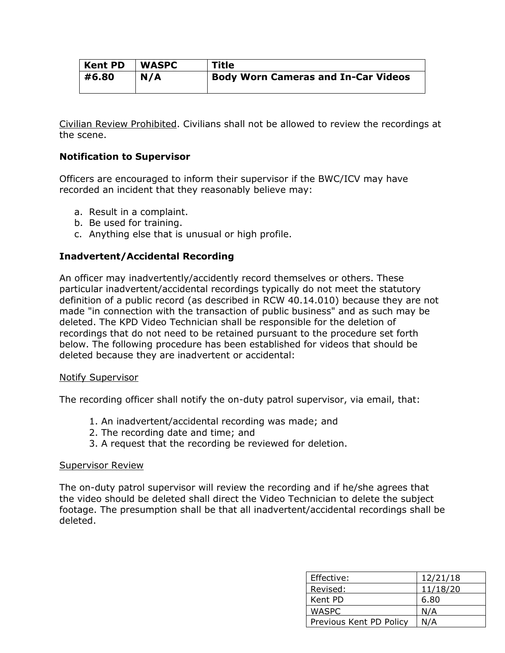| <b>Kent PD</b> | <b>WASPC</b> | <b>Title</b>                               |
|----------------|--------------|--------------------------------------------|
| #6.80          | N/A          | <b>Body Worn Cameras and In-Car Videos</b> |

Civilian Review Prohibited. Civilians shall not be allowed to review the recordings at the scene.

## **Notification to Supervisor**

Officers are encouraged to inform their supervisor if the BWC/ICV may have recorded an incident that they reasonably believe may:

- a. Result in a complaint.
- b. Be used for training.
- c. Anything else that is unusual or high profile.

## **Inadvertent/Accidental Recording**

An officer may inadvertently/accidently record themselves or others. These particular inadvertent/accidental recordings typically do not meet the statutory definition of a public record (as described in RCW 40.14.010) because they are not made "in connection with the transaction of public business" and as such may be deleted. The KPD Video Technician shall be responsible for the deletion of recordings that do not need to be retained pursuant to the procedure set forth below. The following procedure has been established for videos that should be deleted because they are inadvertent or accidental:

#### Notify Supervisor

The recording officer shall notify the on-duty patrol supervisor, via email, that:

- 1. An inadvertent/accidental recording was made; and
- 2. The recording date and time; and
- 3. A request that the recording be reviewed for deletion.

#### Supervisor Review

The on-duty patrol supervisor will review the recording and if he/she agrees that the video should be deleted shall direct the Video Technician to delete the subject footage. The presumption shall be that all inadvertent/accidental recordings shall be deleted.

| Effective:              | 12/21/18 |
|-------------------------|----------|
| Revised:                | 11/18/20 |
| Kent PD                 | 6.80     |
| <b>WASPC</b>            | N/A      |
| Previous Kent PD Policy | N/A      |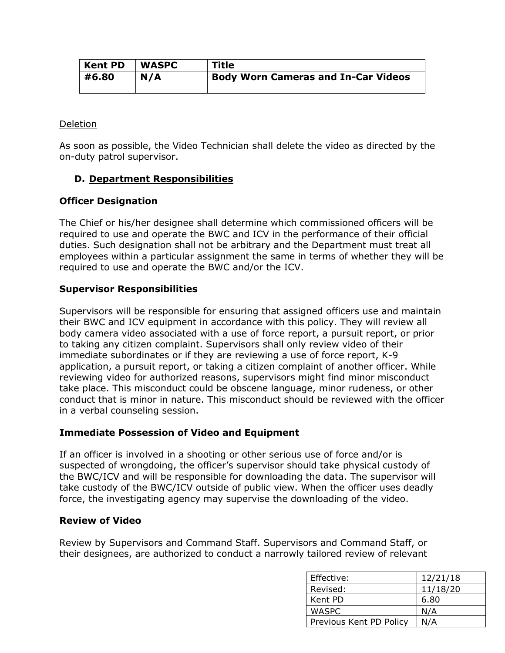| <b>Kent PD</b> | <b>WASPC</b> | <b>Title</b>                               |
|----------------|--------------|--------------------------------------------|
| #6.80          | N/A          | <b>Body Worn Cameras and In-Car Videos</b> |

### Deletion

As soon as possible, the Video Technician shall delete the video as directed by the on-duty patrol supervisor.

## **D. Department Responsibilities**

## **Officer Designation**

The Chief or his/her designee shall determine which commissioned officers will be required to use and operate the BWC and ICV in the performance of their official duties. Such designation shall not be arbitrary and the Department must treat all employees within a particular assignment the same in terms of whether they will be required to use and operate the BWC and/or the ICV.

## **Supervisor Responsibilities**

Supervisors will be responsible for ensuring that assigned officers use and maintain their BWC and ICV equipment in accordance with this policy. They will review all body camera video associated with a use of force report, a pursuit report, or prior to taking any citizen complaint. Supervisors shall only review video of their immediate subordinates or if they are reviewing a use of force report, K-9 application, a pursuit report, or taking a citizen complaint of another officer. While reviewing video for authorized reasons, supervisors might find minor misconduct take place. This misconduct could be obscene language, minor rudeness, or other conduct that is minor in nature. This misconduct should be reviewed with the officer in a verbal counseling session.

## **Immediate Possession of Video and Equipment**

If an officer is involved in a shooting or other serious use of force and/or is suspected of wrongdoing, the officer's supervisor should take physical custody of the BWC/ICV and will be responsible for downloading the data. The supervisor will take custody of the BWC/ICV outside of public view. When the officer uses deadly force, the investigating agency may supervise the downloading of the video.

## **Review of Video**

Review by Supervisors and Command Staff. Supervisors and Command Staff, or their designees, are authorized to conduct a narrowly tailored review of relevant

| Effective:              | 12/21/18 |
|-------------------------|----------|
| Revised:                | 11/18/20 |
| Kent PD                 | 6.80     |
| WASPC                   | N/A      |
| Previous Kent PD Policy | N/A      |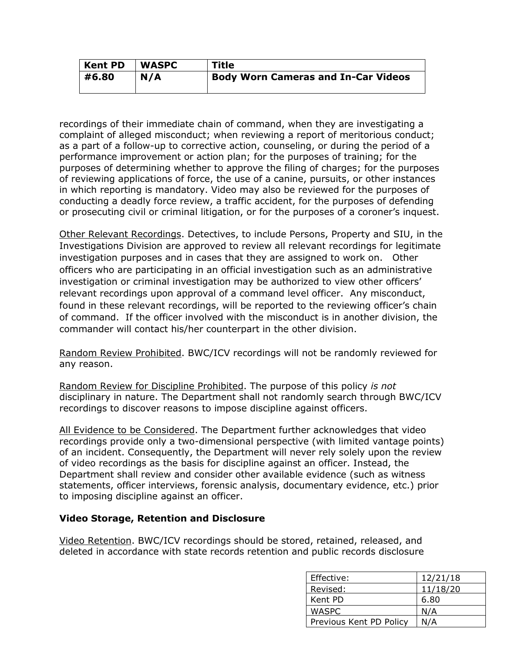| <b>Kent PD</b> | <b>WASPC</b> | <b>Title</b>                               |
|----------------|--------------|--------------------------------------------|
| #6.80          | N/A          | <b>Body Worn Cameras and In-Car Videos</b> |

recordings of their immediate chain of command, when they are investigating a complaint of alleged misconduct; when reviewing a report of meritorious conduct; as a part of a follow-up to corrective action, counseling, or during the period of a performance improvement or action plan; for the purposes of training; for the purposes of determining whether to approve the filing of charges; for the purposes of reviewing applications of force, the use of a canine, pursuits, or other instances in which reporting is mandatory. Video may also be reviewed for the purposes of conducting a deadly force review, a traffic accident, for the purposes of defending or prosecuting civil or criminal litigation, or for the purposes of a coroner's inquest.

Other Relevant Recordings. Detectives, to include Persons, Property and SIU, in the Investigations Division are approved to review all relevant recordings for legitimate investigation purposes and in cases that they are assigned to work on. Other officers who are participating in an official investigation such as an administrative investigation or criminal investigation may be authorized to view other officers' relevant recordings upon approval of a command level officer. Any misconduct, found in these relevant recordings, will be reported to the reviewing officer's chain of command. If the officer involved with the misconduct is in another division, the commander will contact his/her counterpart in the other division.

Random Review Prohibited. BWC/ICV recordings will not be randomly reviewed for any reason.

Random Review for Discipline Prohibited. The purpose of this policy *is not* disciplinary in nature. The Department shall not randomly search through BWC/ICV recordings to discover reasons to impose discipline against officers.

All Evidence to be Considered. The Department further acknowledges that video recordings provide only a two-dimensional perspective (with limited vantage points) of an incident. Consequently, the Department will never rely solely upon the review of video recordings as the basis for discipline against an officer. Instead, the Department shall review and consider other available evidence (such as witness statements, officer interviews, forensic analysis, documentary evidence, etc.) prior to imposing discipline against an officer.

## **Video Storage, Retention and Disclosure**

Video Retention. BWC/ICV recordings should be stored, retained, released, and deleted in accordance with state records retention and public records disclosure

| Effective:              | 12/21/18 |
|-------------------------|----------|
| Revised:                | 11/18/20 |
| Kent PD                 | 6.80     |
| WASPC                   | N/A      |
| Previous Kent PD Policy | N/A      |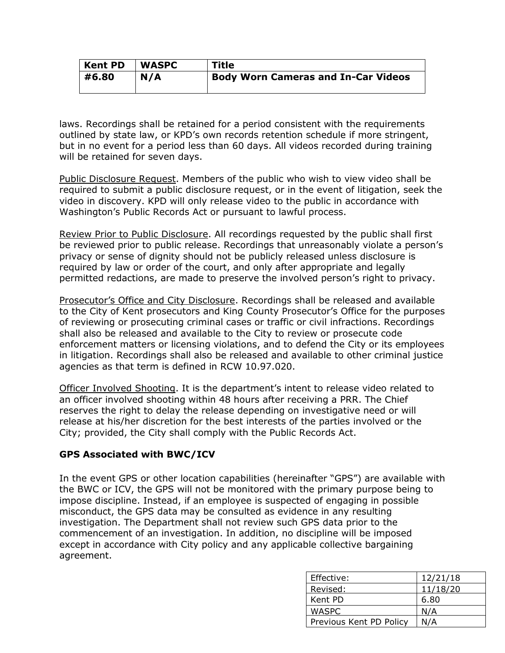| <b>Kent PD</b> | <b>WASPC</b> | <b>Title</b>                               |
|----------------|--------------|--------------------------------------------|
| #6.80          | N/A          | <b>Body Worn Cameras and In-Car Videos</b> |
|                |              |                                            |

laws. Recordings shall be retained for a period consistent with the requirements outlined by state law, or KPD's own records retention schedule if more stringent, but in no event for a period less than 60 days. All videos recorded during training will be retained for seven days.

Public Disclosure Request. Members of the public who wish to view video shall be required to submit a public disclosure request, or in the event of litigation, seek the video in discovery. KPD will only release video to the public in accordance with Washington's Public Records Act or pursuant to lawful process.

Review Prior to Public Disclosure. All recordings requested by the public shall first be reviewed prior to public release. Recordings that unreasonably violate a person's privacy or sense of dignity should not be publicly released unless disclosure is required by law or order of the court, and only after appropriate and legally permitted redactions, are made to preserve the involved person's right to privacy.

Prosecutor's Office and City Disclosure. Recordings shall be released and available to the City of Kent prosecutors and King County Prosecutor's Office for the purposes of reviewing or prosecuting criminal cases or traffic or civil infractions. Recordings shall also be released and available to the City to review or prosecute code enforcement matters or licensing violations, and to defend the City or its employees in litigation. Recordings shall also be released and available to other criminal justice agencies as that term is defined in RCW 10.97.020.

Officer Involved Shooting. It is the department's intent to release video related to an officer involved shooting within 48 hours after receiving a PRR. The Chief reserves the right to delay the release depending on investigative need or will release at his/her discretion for the best interests of the parties involved or the City; provided, the City shall comply with the Public Records Act.

## **GPS Associated with BWC/ICV**

In the event GPS or other location capabilities (hereinafter "GPS") are available with the BWC or ICV, the GPS will not be monitored with the primary purpose being to impose discipline. Instead, if an employee is suspected of engaging in possible misconduct, the GPS data may be consulted as evidence in any resulting investigation. The Department shall not review such GPS data prior to the commencement of an investigation. In addition, no discipline will be imposed except in accordance with City policy and any applicable collective bargaining agreement.

| Effective:              | 12/21/18 |
|-------------------------|----------|
| Revised:                | 11/18/20 |
| Kent PD                 | 6.80     |
| WASPC                   | N/A      |
| Previous Kent PD Policy | N/A      |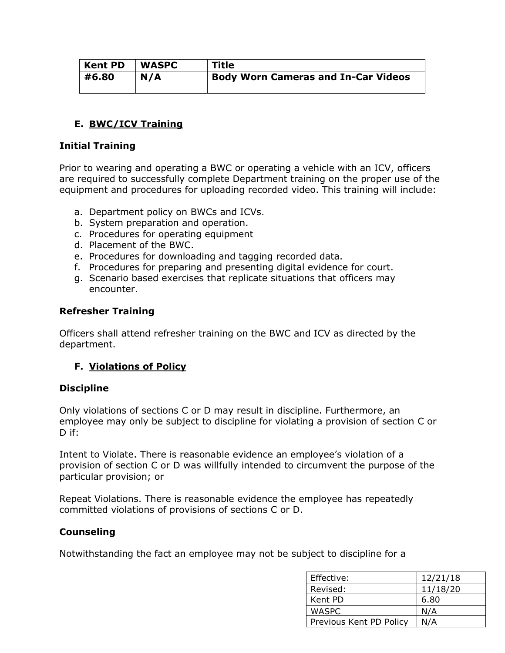| Kent PD | <b>WASPC</b> | <b>Title</b>                               |
|---------|--------------|--------------------------------------------|
| #6.80   | N/A          | <b>Body Worn Cameras and In-Car Videos</b> |
|         |              |                                            |

# **E. BWC/ICV Training**

## **Initial Training**

Prior to wearing and operating a BWC or operating a vehicle with an ICV, officers are required to successfully complete Department training on the proper use of the equipment and procedures for uploading recorded video. This training will include:

- a. Department policy on BWCs and ICVs.
- b. System preparation and operation.
- c. Procedures for operating equipment
- d. Placement of the BWC.
- e. Procedures for downloading and tagging recorded data.
- f. Procedures for preparing and presenting digital evidence for court.
- g. Scenario based exercises that replicate situations that officers may encounter.

#### **Refresher Training**

Officers shall attend refresher training on the BWC and ICV as directed by the department.

## **F. Violations of Policy**

#### **Discipline**

Only violations of sections C or D may result in discipline. Furthermore, an employee may only be subject to discipline for violating a provision of section C or D if:

Intent to Violate. There is reasonable evidence an employee's violation of a provision of section C or D was willfully intended to circumvent the purpose of the particular provision; or

Repeat Violations. There is reasonable evidence the employee has repeatedly committed violations of provisions of sections C or D.

## **Counseling**

Notwithstanding the fact an employee may not be subject to discipline for a

| Effective:              | 12/21/18 |
|-------------------------|----------|
| Revised:                | 11/18/20 |
| Kent PD                 | 6.80     |
| <b>WASPC</b>            | N/A      |
| Previous Kent PD Policy | N/A      |